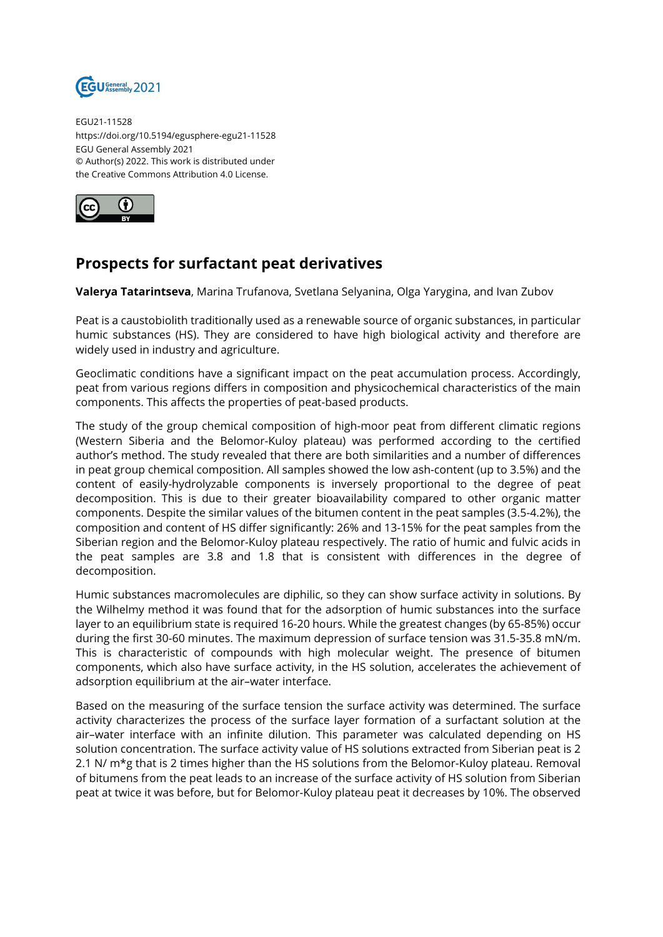

EGU21-11528 https://doi.org/10.5194/egusphere-egu21-11528 EGU General Assembly 2021 © Author(s) 2022. This work is distributed under the Creative Commons Attribution 4.0 License.



## **Prospects for surfactant peat derivatives**

**Valerya Tatarintseva**, Marina Trufanova, Svetlana Selyanina, Olga Yarygina, and Ivan Zubov

Peat is a caustobiolith traditionally used as a renewable source of organic substances, in particular humic substances (HS). They are considered to have high biological activity and therefore are widely used in industry and agriculture.

Geoclimatic conditions have a significant impact on the peat accumulation process. Accordingly, peat from various regions differs in composition and physicochemical characteristics of the main components. This affects the properties of peat-based products.

The study of the group chemical composition of high-moor peat from different climatic regions (Western Siberia and the Belomor-Kuloy plateau) was performed according to the certified author's method. The study revealed that there are both similarities and a number of differences in peat group chemical composition. All samples showed the low ash-content (up to 3.5%) and the content of easily-hydrolyzable components is inversely proportional to the degree of peat decomposition. This is due to their greater bioavailability compared to other organic matter components. Despite the similar values of the bitumen content in the peat samples (3.5-4.2%), the composition and content of HS differ significantly: 26% and 13-15% for the peat samples from the Siberian region and the Belomor-Kuloy plateau respectively. The ratio of humic and fulvic acids in the peat samples are 3.8 and 1.8 that is consistent with differences in the degree of decomposition.

Humic substances macromolecules are diphilic, so they can show surface activity in solutions. By the Wilhelmy method it was found that for the adsorption of humic substances into the surface layer to an equilibrium state is required 16-20 hours. While the greatest changes (by 65-85%) occur during the first 30-60 minutes. The maximum depression of surface tension was 31.5-35.8 mN/m. This is characteristic of compounds with high molecular weight. The presence of bitumen components, which also have surface activity, in the HS solution, accelerates the achievement of adsorption equilibrium at the air–water interface.

Based on the measuring of the surface tension the surface activity was determined. The surface activity characterizes the process of the surface layer formation of a surfactant solution at the air–water interface with an infinite dilution. This parameter was calculated depending on HS solution concentration. The surface activity value of HS solutions extracted from Siberian peat is 2 2.1 N/ m\*g that is 2 times higher than the HS solutions from the Belomor-Kuloy plateau. Removal of bitumens from the peat leads to an increase of the surface activity of HS solution from Siberian peat at twice it was before, but for Belomor-Kuloy plateau peat it decreases by 10%. The observed